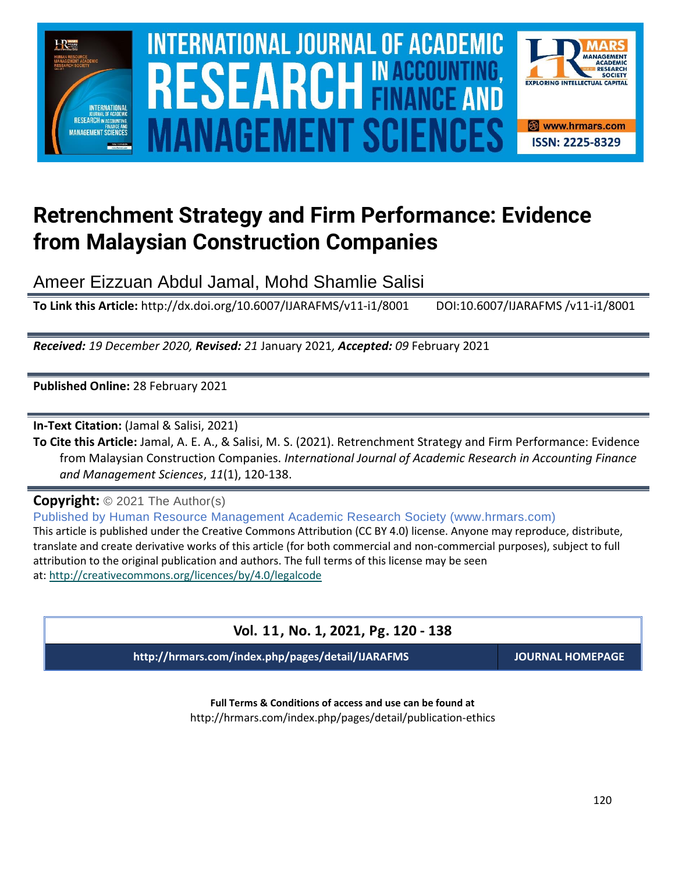

# $\blacksquare$  INTERNATIONAL JOURNAL OF ACADEMIC RESEARCH IN ACCOUNTING, FINANCE AND  $\blacksquare$ SOURCE NEWSLET AND RELEASE OF THE SCIENCE OF THE SCIENCE OF THE SCIENCE OF THE SCIENCE OF THE SCIENCE OF THE SCIENCE **Vol. 1 1 , No. 1, 2021, E-ISSN: 2225-8329 © 2021 HRMARS ANAGEMENT SCIE**



## **Retrenchment Strategy and Firm Performance: Evidence from Malaysian Construction Companies**

Ameer Eizzuan Abdul Jamal, Mohd Shamlie Salisi

**To Link this Article:** http://dx.doi.org/10.6007/IJARAFMS/v11-i1/8001 DOI:10.6007/IJARAFMS /v11-i1/8001

*Received: 19 December 2020, Revised: 21* January 2021*, Accepted: 09* February 2021

**Published Online:** 28 February 2021

**In-Text Citation:** (Jamal & Salisi, 2021)

**To Cite this Article:** Jamal, A. E. A., & Salisi, M. S. (2021). Retrenchment Strategy and Firm Performance: Evidence from Malaysian Construction Companies. *International Journal of Academic Research in Accounting Finance and Management Sciences*, *11*(1), 120-138.

**Copyright:** © 2021 The Author(s)

Published by Human Resource Management Academic Research Society (www.hrmars.com) This article is published under the Creative Commons Attribution (CC BY 4.0) license. Anyone may reproduce, distribute, translate and create derivative works of this article (for both commercial and non-commercial purposes), subject to full attribution to the original publication and authors. The full terms of this license may be seen at: <http://creativecommons.org/licences/by/4.0/legalcode>

## **Vol. 11, No. 1, 2021, Pg. 120 - 138**

**http://hrmars.com/index.php/pages/detail/IJARAFMS JOURNAL HOMEPAGE**

**Full Terms & Conditions of access and use can be found at** http://hrmars.com/index.php/pages/detail/publication-ethics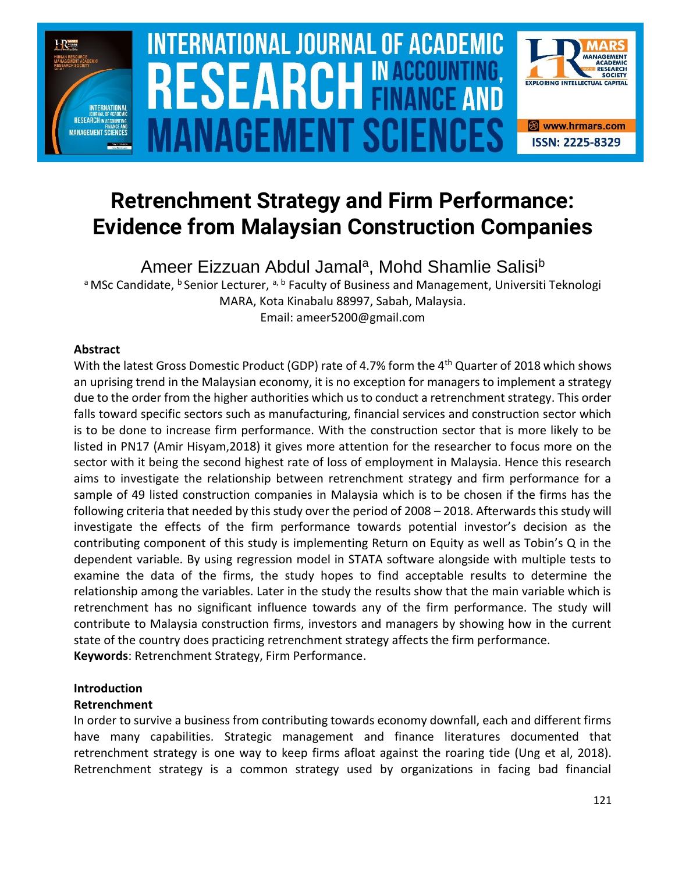

# **INTERNATIONAL JOURNAL OF ACADEMIC** SOURCE NEWSLET AND RELEASE OF THE SCIENCE OF THE SCIENCE OF THE SCIENCE OF THE SCIENCE OF THE SCIENCE OF THE SCIENCE **Vol. 1 1 , No. 1, 2021, E-ISSN: 2225-8329 © 2021 HRMARS** ANAGEMENT SCIEI



Ameer Eizzuan Abdul Jamal<sup>a</sup>, Mohd Shamlie Salisi<sup>b</sup>

a MSc Candidate, <sup>b</sup> Senior Lecturer, <sup>a, b</sup> Faculty of Business and Management, Universiti Teknologi MARA, Kota Kinabalu 88997, Sabah, Malaysia. Email: ameer5200@gmail.com

## **Abstract**

With the latest Gross Domestic Product (GDP) rate of 4.7% form the 4<sup>th</sup> Quarter of 2018 which shows an uprising trend in the Malaysian economy, it is no exception for managers to implement a strategy due to the order from the higher authorities which us to conduct a retrenchment strategy. This order falls toward specific sectors such as manufacturing, financial services and construction sector which is to be done to increase firm performance. With the construction sector that is more likely to be listed in PN17 (Amir Hisyam,2018) it gives more attention for the researcher to focus more on the sector with it being the second highest rate of loss of employment in Malaysia. Hence this research aims to investigate the relationship between retrenchment strategy and firm performance for a sample of 49 listed construction companies in Malaysia which is to be chosen if the firms has the following criteria that needed by this study over the period of 2008 – 2018. Afterwards this study will investigate the effects of the firm performance towards potential investor's decision as the contributing component of this study is implementing Return on Equity as well as Tobin's Q in the dependent variable. By using regression model in STATA software alongside with multiple tests to examine the data of the firms, the study hopes to find acceptable results to determine the relationship among the variables. Later in the study the results show that the main variable which is retrenchment has no significant influence towards any of the firm performance. The study will contribute to Malaysia construction firms, investors and managers by showing how in the current state of the country does practicing retrenchment strategy affects the firm performance. **Keywords**: Retrenchment Strategy, Firm Performance.

## **Introduction**

## **Retrenchment**

In order to survive a business from contributing towards economy downfall, each and different firms have many capabilities. Strategic management and finance literatures documented that retrenchment strategy is one way to keep firms afloat against the roaring tide (Ung et al, 2018). Retrenchment strategy is a common strategy used by organizations in facing bad financial

**EXPLORING INTELLECTUAL CAPITAL** 

& www.hrmars.com

**ISSN: 2225-8329**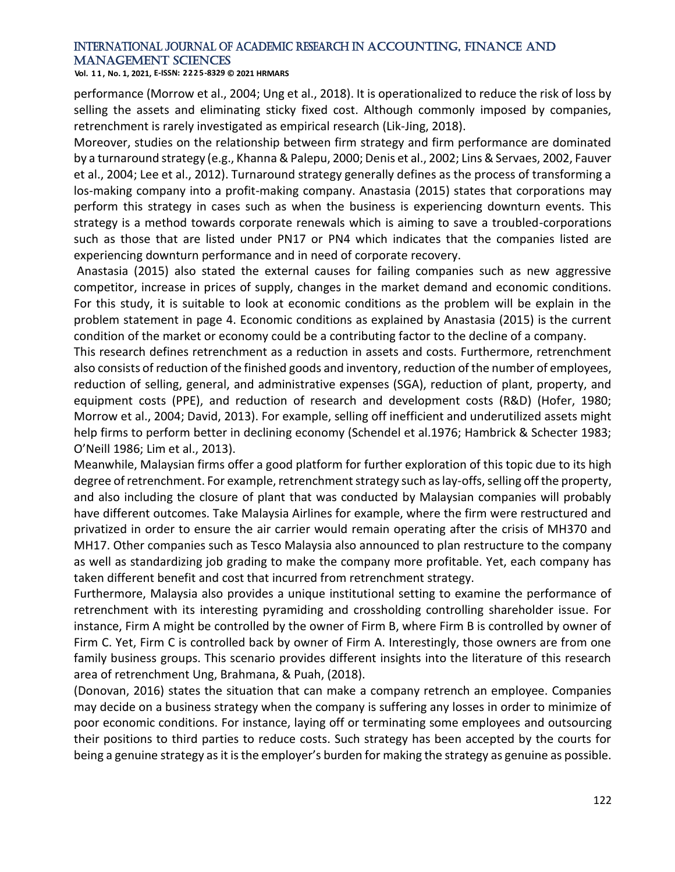**Vol. 1 1 , No. 1, 2021, E-ISSN: 2225-8329 © 2021 HRMARS**

performance (Morrow et al., 2004; Ung et al., 2018). It is operationalized to reduce the risk of loss by selling the assets and eliminating sticky fixed cost. Although commonly imposed by companies, retrenchment is rarely investigated as empirical research (Lik-Jing, 2018).

Moreover, studies on the relationship between firm strategy and firm performance are dominated by a turnaround strategy (e.g., Khanna & Palepu, 2000; Denis et al., 2002; Lins & Servaes, 2002, Fauver et al., 2004; Lee et al., 2012). Turnaround strategy generally defines as the process of transforming a los-making company into a profit-making company. Anastasia (2015) states that corporations may perform this strategy in cases such as when the business is experiencing downturn events. This strategy is a method towards corporate renewals which is aiming to save a troubled-corporations such as those that are listed under PN17 or PN4 which indicates that the companies listed are experiencing downturn performance and in need of corporate recovery.

Anastasia (2015) also stated the external causes for failing companies such as new aggressive competitor, increase in prices of supply, changes in the market demand and economic conditions. For this study, it is suitable to look at economic conditions as the problem will be explain in the problem statement in page 4. Economic conditions as explained by Anastasia (2015) is the current condition of the market or economy could be a contributing factor to the decline of a company.

This research defines retrenchment as a reduction in assets and costs. Furthermore, retrenchment also consists of reduction of the finished goods and inventory, reduction of the number of employees, reduction of selling, general, and administrative expenses (SGA), reduction of plant, property, and equipment costs (PPE), and reduction of research and development costs (R&D) (Hofer, 1980; Morrow et al., 2004; David, 2013). For example, selling off inefficient and underutilized assets might help firms to perform better in declining economy (Schendel et al.1976; Hambrick & Schecter 1983; O'Neill 1986; Lim et al., 2013).

Meanwhile, Malaysian firms offer a good platform for further exploration of this topic due to its high degree of retrenchment. For example, retrenchment strategy such as lay-offs, selling off the property, and also including the closure of plant that was conducted by Malaysian companies will probably have different outcomes. Take Malaysia Airlines for example, where the firm were restructured and privatized in order to ensure the air carrier would remain operating after the crisis of MH370 and MH17. Other companies such as Tesco Malaysia also announced to plan restructure to the company as well as standardizing job grading to make the company more profitable. Yet, each company has taken different benefit and cost that incurred from retrenchment strategy.

Furthermore, Malaysia also provides a unique institutional setting to examine the performance of retrenchment with its interesting pyramiding and crossholding controlling shareholder issue. For instance, Firm A might be controlled by the owner of Firm B, where Firm B is controlled by owner of Firm C. Yet, Firm C is controlled back by owner of Firm A. Interestingly, those owners are from one family business groups. This scenario provides different insights into the literature of this research area of retrenchment Ung, Brahmana, & Puah, (2018).

(Donovan, 2016) states the situation that can make a company retrench an employee. Companies may decide on a business strategy when the company is suffering any losses in order to minimize of poor economic conditions. For instance, laying off or terminating some employees and outsourcing their positions to third parties to reduce costs. Such strategy has been accepted by the courts for being a genuine strategy as it is the employer's burden for making the strategy as genuine as possible.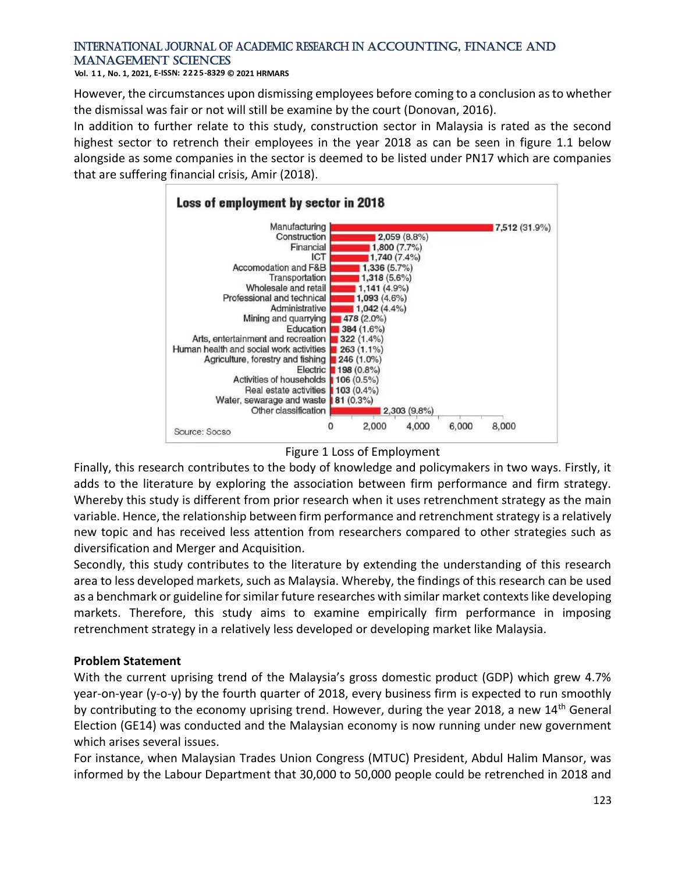**Vol. 1 1 , No. 1, 2021, E-ISSN: 2225-8329 © 2021 HRMARS**

However, the circumstances upon dismissing employees before coming to a conclusion as to whether the dismissal was fair or not will still be examine by the court (Donovan, 2016).

In addition to further relate to this study, construction sector in Malaysia is rated as the second highest sector to retrench their employees in the year 2018 as can be seen in figure 1.1 below alongside as some companies in the sector is deemed to be listed under PN17 which are companies that are suffering financial crisis, Amir (2018).



## Figure 1 Loss of Employment

Finally, this research contributes to the body of knowledge and policymakers in two ways. Firstly, it adds to the literature by exploring the association between firm performance and firm strategy. Whereby this study is different from prior research when it uses retrenchment strategy as the main variable. Hence, the relationship between firm performance and retrenchment strategy is a relatively new topic and has received less attention from researchers compared to other strategies such as diversification and Merger and Acquisition.

Secondly, this study contributes to the literature by extending the understanding of this research area to less developed markets, such as Malaysia. Whereby, the findings of this research can be used as a benchmark or guideline for similar future researches with similar market contexts like developing markets. Therefore, this study aims to examine empirically firm performance in imposing retrenchment strategy in a relatively less developed or developing market like Malaysia.

## **Problem Statement**

With the current uprising trend of the Malaysia's gross domestic product (GDP) which grew 4.7% year-on-year (y-o-y) by the fourth quarter of 2018, every business firm is expected to run smoothly by contributing to the economy uprising trend. However, during the year 2018, a new 14<sup>th</sup> General Election (GE14) was conducted and the Malaysian economy is now running under new government which arises several issues.

For instance, when Malaysian Trades Union Congress (MTUC) President, Abdul Halim Mansor, was informed by the Labour Department that 30,000 to 50,000 people could be retrenched in 2018 and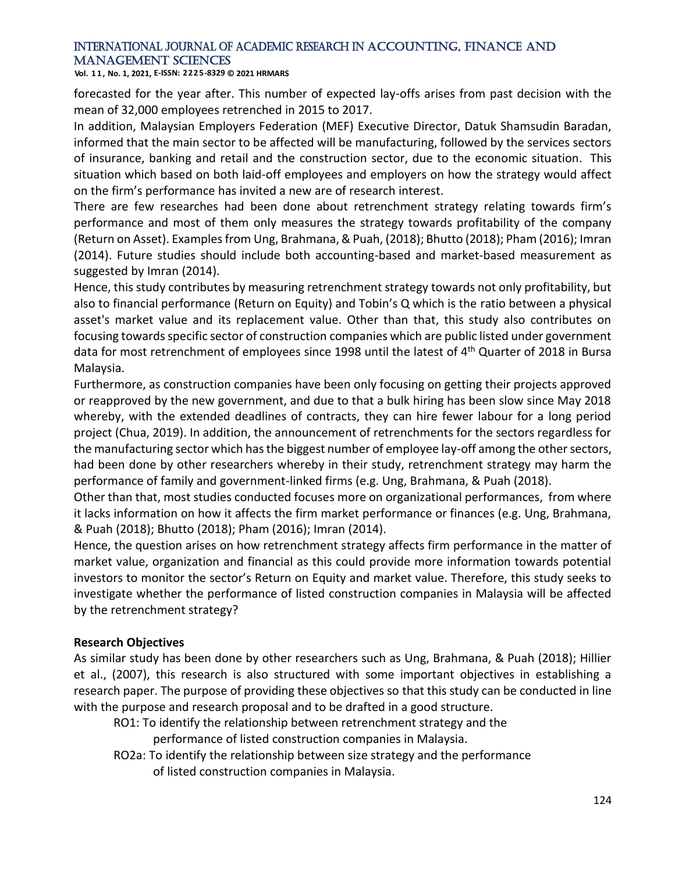**Vol. 1 1 , No. 1, 2021, E-ISSN: 2225-8329 © 2021 HRMARS**

forecasted for the year after. This number of expected lay-offs arises from past decision with the mean of 32,000 employees retrenched in 2015 to 2017.

In addition, Malaysian Employers Federation (MEF) Executive Director, Datuk Shamsudin Baradan, informed that the main sector to be affected will be manufacturing, followed by the services sectors of insurance, banking and retail and the construction sector, due to the economic situation. This situation which based on both laid-off employees and employers on how the strategy would affect on the firm's performance has invited a new are of research interest.

There are few researches had been done about retrenchment strategy relating towards firm's performance and most of them only measures the strategy towards profitability of the company (Return on Asset). Examples from Ung, Brahmana, & Puah, (2018); Bhutto (2018); Pham (2016); Imran (2014). Future studies should include both accounting-based and market-based measurement as suggested by Imran (2014).

Hence, this study contributes by measuring retrenchment strategy towards not only profitability, but also to financial performance (Return on Equity) and Tobin's Q which is the ratio between a physical asset's market value and its replacement value. Other than that, this study also contributes on focusing towards specific sector of construction companies which are public listed under government data for most retrenchment of employees since 1998 until the latest of 4<sup>th</sup> Quarter of 2018 in Bursa Malaysia.

Furthermore, as construction companies have been only focusing on getting their projects approved or reapproved by the new government, and due to that a bulk hiring has been slow since May 2018 whereby, with the extended deadlines of contracts, they can hire fewer labour for a long period project (Chua, 2019). In addition, the announcement of retrenchments for the sectors regardless for the manufacturing sector which has the biggest number of employee lay-off among the other sectors, had been done by other researchers whereby in their study, retrenchment strategy may harm the performance of family and government-linked firms (e.g. Ung, Brahmana, & Puah (2018).

Other than that, most studies conducted focuses more on organizational performances, from where it lacks information on how it affects the firm market performance or finances (e.g. Ung, Brahmana, & Puah (2018); Bhutto (2018); Pham (2016); Imran (2014).

Hence, the question arises on how retrenchment strategy affects firm performance in the matter of market value, organization and financial as this could provide more information towards potential investors to monitor the sector's Return on Equity and market value. Therefore, this study seeks to investigate whether the performance of listed construction companies in Malaysia will be affected by the retrenchment strategy?

## **Research Objectives**

As similar study has been done by other researchers such as Ung, Brahmana, & Puah (2018); Hillier et al., (2007), this research is also structured with some important objectives in establishing a research paper. The purpose of providing these objectives so that this study can be conducted in line with the purpose and research proposal and to be drafted in a good structure.

RO1: To identify the relationship between retrenchment strategy and the

performance of listed construction companies in Malaysia.

RO2a: To identify the relationship between size strategy and the performance

of listed construction companies in Malaysia.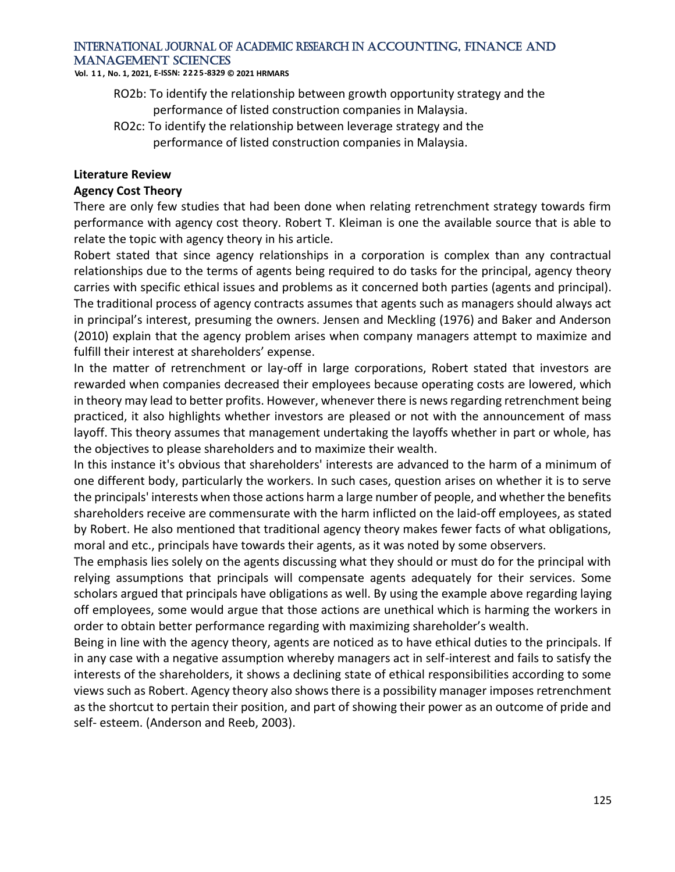**Vol. 1 1 , No. 1, 2021, E-ISSN: 2225-8329 © 2021 HRMARS**

- RO2b: To identify the relationship between growth opportunity strategy and the performance of listed construction companies in Malaysia.
- RO2c: To identify the relationship between leverage strategy and the performance of listed construction companies in Malaysia.

#### **Literature Review**

#### **Agency Cost Theory**

There are only few studies that had been done when relating retrenchment strategy towards firm performance with agency cost theory. Robert T. Kleiman is one the available source that is able to relate the topic with agency theory in his article.

Robert stated that since agency relationships in a corporation is complex than any contractual relationships due to the terms of agents being required to do tasks for the principal, agency theory carries with specific ethical issues and problems as it concerned both parties (agents and principal). The traditional process of agency contracts assumes that agents such as managers should always act in principal's interest, presuming the owners. Jensen and Meckling (1976) and Baker and Anderson (2010) explain that the agency problem arises when company managers attempt to maximize and fulfill their interest at shareholders' expense.

In the matter of retrenchment or lay-off in large corporations, Robert stated that investors are rewarded when companies decreased their employees because operating costs are lowered, which in theory may lead to better profits. However, whenever there is news regarding retrenchment being practiced, it also highlights whether investors are pleased or not with the announcement of mass layoff. This theory assumes that management undertaking the layoffs whether in part or whole, has the objectives to please shareholders and to maximize their wealth.

In this instance it's obvious that shareholders' interests are advanced to the harm of a minimum of one different body, particularly the workers. In such cases, question arises on whether it is to serve the principals' interests when those actions harm a large number of people, and whether the benefits shareholders receive are commensurate with the harm inflicted on the laid-off employees, as stated by Robert. He also mentioned that traditional agency theory makes fewer facts of what obligations, moral and etc., principals have towards their agents, as it was noted by some observers.

The emphasis lies solely on the agents discussing what they should or must do for the principal with relying assumptions that principals will compensate agents adequately for their services. Some scholars argued that principals have obligations as well. By using the example above regarding laying off employees, some would argue that those actions are unethical which is harming the workers in order to obtain better performance regarding with maximizing shareholder's wealth.

Being in line with the agency theory, agents are noticed as to have ethical duties to the principals. If in any case with a negative assumption whereby managers act in self-interest and fails to satisfy the interests of the shareholders, it shows a declining state of ethical responsibilities according to some views such as Robert. Agency theory also shows there is a possibility manager imposes retrenchment as the shortcut to pertain their position, and part of showing their power as an outcome of pride and self- esteem. (Anderson and Reeb, 2003).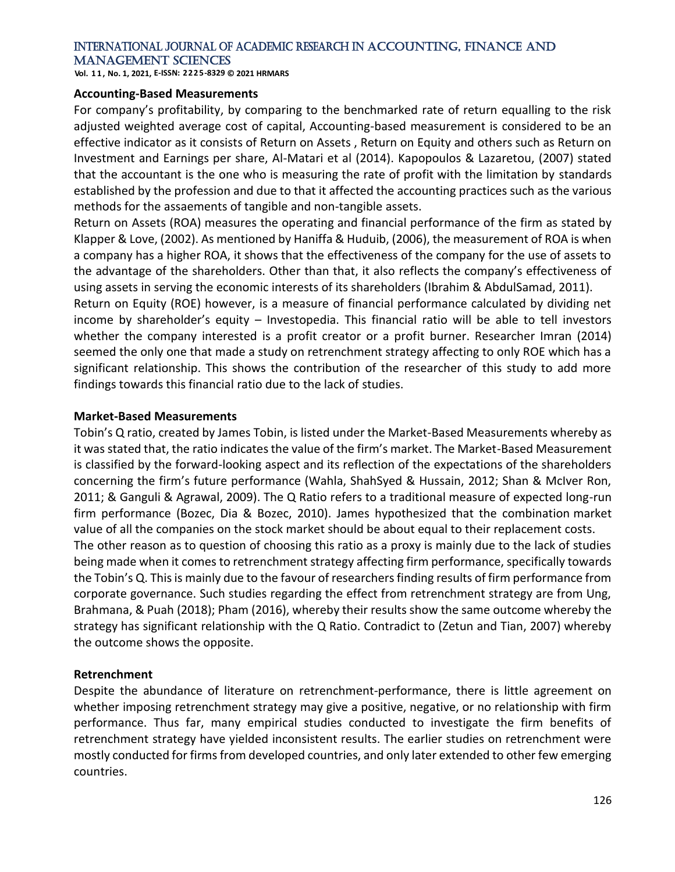**Vol. 1 1 , No. 1, 2021, E-ISSN: 2225-8329 © 2021 HRMARS**

#### **Accounting-Based Measurements**

For company's profitability, by comparing to the benchmarked rate of return equalling to the risk adjusted weighted average cost of capital, Accounting-based measurement is considered to be an effective indicator as it consists of Return on Assets , Return on Equity and others such as Return on Investment and Earnings per share, Al-Matari et al (2014). Kapopoulos & Lazaretou, (2007) stated that the accountant is the one who is measuring the rate of profit with the limitation by standards established by the profession and due to that it affected the accounting practices such as the various methods for the assaements of tangible and non-tangible assets.

Return on Assets (ROA) measures the operating and financial performance of the firm as stated by Klapper & Love, (2002). As mentioned by Haniffa & Huduib, (2006), the measurement of ROA is when a company has a higher ROA, it shows that the effectiveness of the company for the use of assets to the advantage of the shareholders. Other than that, it also reflects the company's effectiveness of using assets in serving the economic interests of its shareholders (Ibrahim & AbdulSamad, 2011).

Return on Equity (ROE) however, is a measure of financial performance calculated by dividing net income by shareholder's equity – Investopedia. This financial ratio will be able to tell investors whether the company interested is a profit creator or a profit burner. Researcher Imran (2014) seemed the only one that made a study on retrenchment strategy affecting to only ROE which has a significant relationship. This shows the contribution of the researcher of this study to add more findings towards this financial ratio due to the lack of studies.

#### **Market-Based Measurements**

Tobin's Q ratio, created by James Tobin, is listed under the Market-Based Measurements whereby as it was stated that, the ratio indicates the value of the firm's market. The Market-Based Measurement is classified by the forward-looking aspect and its reflection of the expectations of the shareholders concerning the firm's future performance (Wahla, ShahSyed & Hussain, 2012; Shan & McIver Ron, 2011; & Ganguli & Agrawal, 2009). The Q Ratio refers to a traditional measure of expected long-run firm performance (Bozec, Dia & Bozec, 2010). James hypothesized that the combination [market](https://www.investopedia.com/terms/m/marketvalue.asp)  [value](https://www.investopedia.com/terms/m/marketvalue.asp) of all the companies on the stock market should be about equal to their replacement costs. The other reason as to question of choosing this ratio as a proxy is mainly due to the lack of studies being made when it comes to retrenchment strategy affecting firm performance, specifically towards the Tobin's Q. This is mainly due to the favour of researchers finding results of firm performance from corporate governance. Such studies regarding the effect from retrenchment strategy are from Ung, Brahmana, & Puah (2018); Pham (2016), whereby their results show the same outcome whereby the strategy has significant relationship with the Q Ratio. Contradict to (Zetun and Tian, 2007) whereby the outcome shows the opposite.

#### **Retrenchment**

Despite the abundance of literature on retrenchment-performance, there is little agreement on whether imposing retrenchment strategy may give a positive, negative, or no relationship with firm performance. Thus far, many empirical studies conducted to investigate the firm benefits of retrenchment strategy have yielded inconsistent results. The earlier studies on retrenchment were mostly conducted for firms from developed countries, and only later extended to other few emerging countries.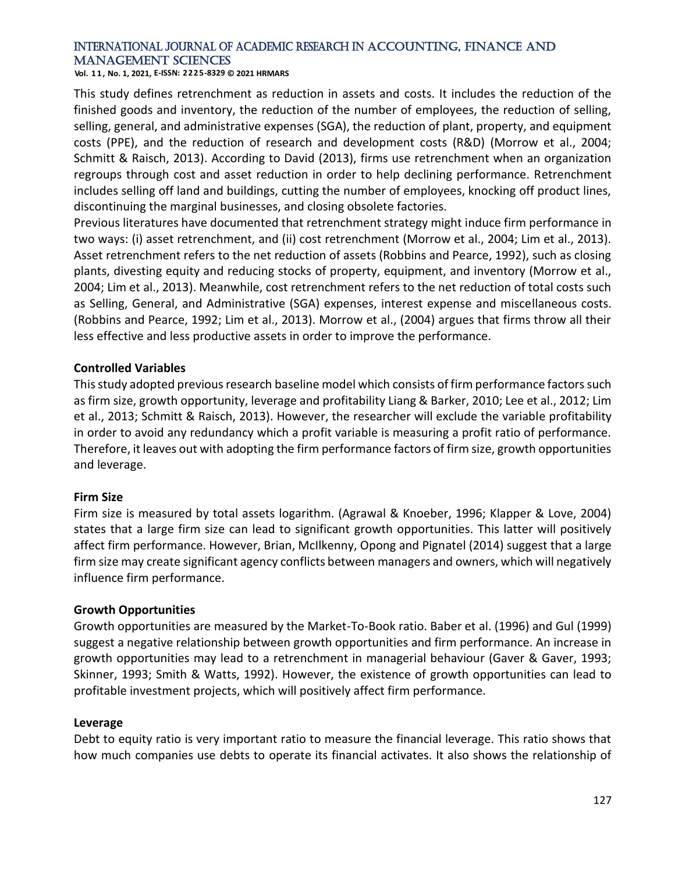**Vol. 1 1 , No. 1, 2021, E-ISSN: 2225-8329 © 2021 HRMARS**

This study defines retrenchment as reduction in assets and costs. It includes the reduction of the finished goods and inventory, the reduction of the number of employees, the reduction of selling, selling, general, and administrative expenses (SGA), the reduction of plant, property, and equipment costs (PPE), and the reduction of research and development costs (R&D) (Morrow et al., 2004; Schmitt & Raisch, 2013). According to David (2013), firms use retrenchment when an organization regroups through cost and asset reduction in order to help declining performance. Retrenchment includes selling off land and buildings, cutting the number of employees, knocking off product lines, discontinuing the marginal businesses, and closing obsolete factories.

Previous literatures have documented that retrenchment strategy might induce firm performance in two ways: (i) asset retrenchment, and (ii) cost retrenchment (Morrow et al., 2004; Lim et al., 2013). Asset retrenchment refers to the net reduction of assets (Robbins and Pearce, 1992), such as closing plants, divesting equity and reducing stocks of property, equipment, and inventory (Morrow et al., 2004; Lim et al., 2013). Meanwhile, cost retrenchment refers to the net reduction of total costs such as Selling, General, and Administrative (SGA) expenses, interest expense and miscellaneous costs. (Robbins and Pearce, 1992; Lim et al., 2013). Morrow et al., (2004) argues that firms throw all their less effective and less productive assets in order to improve the performance.

## **Controlled Variables**

This study adopted previous research baseline model which consists of firm performance factors such as firm size, growth opportunity, leverage and profitability Liang & Barker, 2010; Lee et al., 2012; Lim et al., 2013; Schmitt & Raisch, 2013). However, the researcher will exclude the variable profitability in order to avoid any redundancy which a profit variable is measuring a profit ratio of performance. Therefore, it leaves out with adopting the firm performance factors of firm size, growth opportunities and leverage.

#### **Firm Size**

Firm size is measured by total assets logarithm. (Agrawal & Knoeber, 1996; Klapper & Love, 2004) states that a large firm size can lead to significant growth opportunities. This latter will positively affect firm performance. However, Brian, McIlkenny, Opong and Pignatel (2014) suggest that a large firm size may create significant agency conflicts between managers and owners, which will negatively influence firm performance.

#### **Growth Opportunities**

Growth opportunities are measured by the Market-To-Book ratio. Baber et al. (1996) and Gul (1999) suggest a negative relationship between growth opportunities and firm performance. An increase in growth opportunities may lead to a retrenchment in managerial behaviour (Gaver & Gaver, 1993; Skinner, 1993; Smith & Watts, 1992). However, the existence of growth opportunities can lead to profitable investment projects, which will positively affect firm performance.

#### **Leverage**

Debt to equity ratio is very important ratio to measure the financial leverage. This ratio shows that how much companies use debts to operate its financial activates. It also shows the relationship of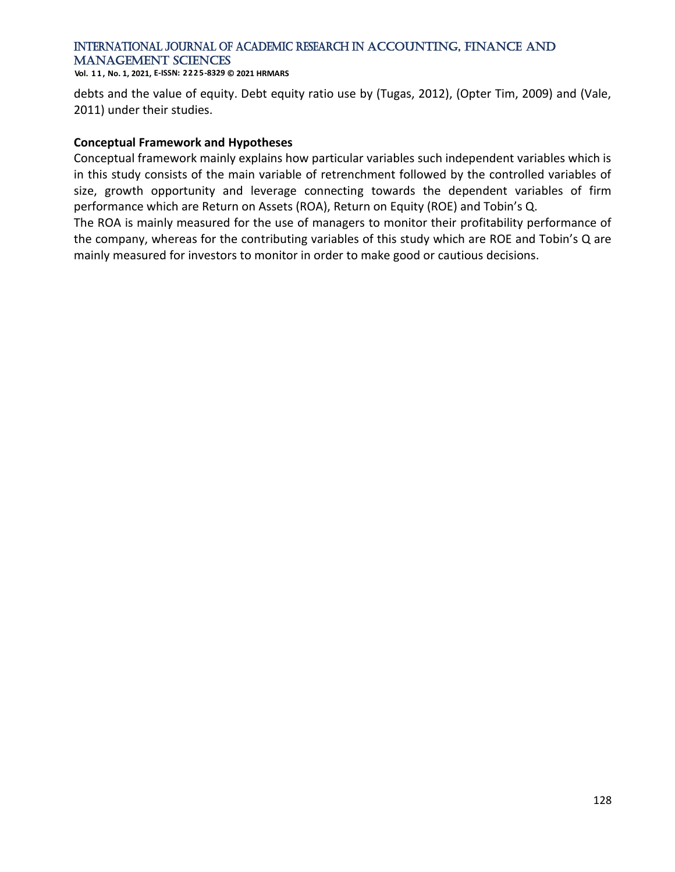**Vol. 1 1 , No. 1, 2021, E-ISSN: 2225-8329 © 2021 HRMARS**

debts and the value of equity. Debt equity ratio use by (Tugas, 2012), (Opter Tim, 2009) and (Vale, 2011) under their studies.

#### **Conceptual Framework and Hypotheses**

Conceptual framework mainly explains how particular variables such independent variables which is in this study consists of the main variable of retrenchment followed by the controlled variables of size, growth opportunity and leverage connecting towards the dependent variables of firm performance which are Return on Assets (ROA), Return on Equity (ROE) and Tobin's Q.

The ROA is mainly measured for the use of managers to monitor their profitability performance of the company, whereas for the contributing variables of this study which are ROE and Tobin's Q are mainly measured for investors to monitor in order to make good or cautious decisions.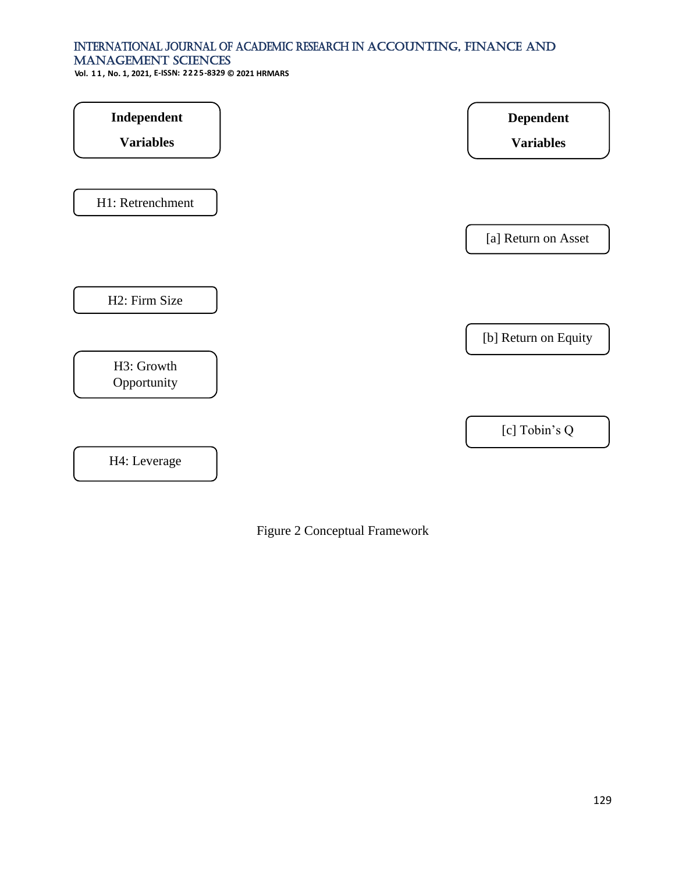**Vol. 1 1 , No. 1, 2021, E-ISSN: 2225-8329 © 2021 HRMARS**

| Independent               | <b>Dependent</b>     |
|---------------------------|----------------------|
| <b>Variables</b>          | <b>Variables</b>     |
| H1: Retrenchment          |                      |
|                           | [a] Return on Asset  |
| H2: Firm Size             |                      |
|                           | [b] Return on Equity |
| H3: Growth<br>Opportunity |                      |
|                           | [c] Tobin's Q        |
| H4: Leverage              |                      |

Figure 2 Conceptual Framework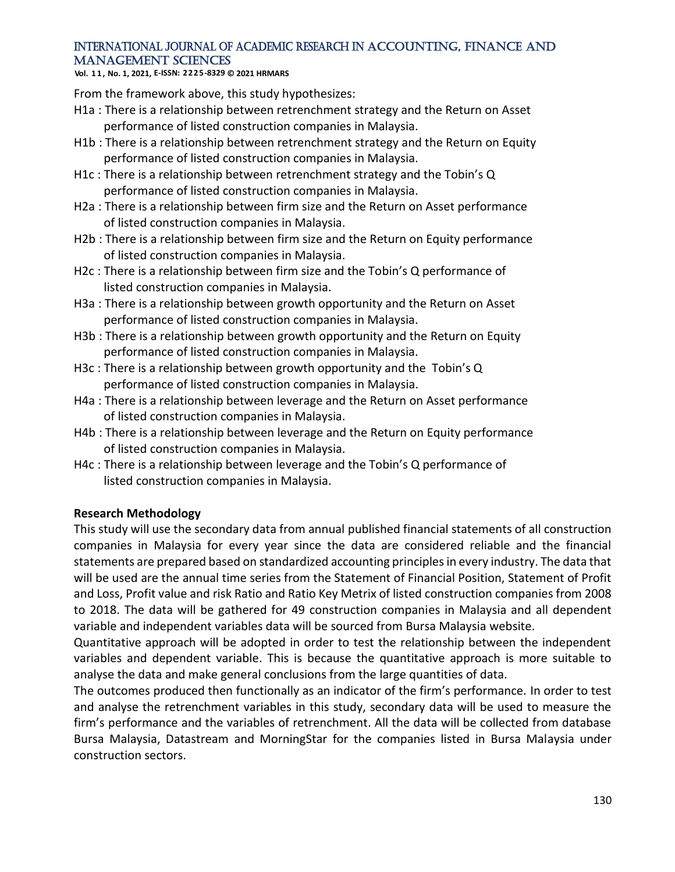**Vol. 1 1 , No. 1, 2021, E-ISSN: 2225-8329 © 2021 HRMARS**

From the framework above, this study hypothesizes:

- H1a : There is a relationship between retrenchment strategy and the Return on Asset performance of listed construction companies in Malaysia.
- H1b : There is a relationship between retrenchment strategy and the Return on Equity performance of listed construction companies in Malaysia.
- H1c : There is a relationship between retrenchment strategy and the Tobin's Q performance of listed construction companies in Malaysia.
- H2a : There is a relationship between firm size and the Return on Asset performance of listed construction companies in Malaysia.
- H2b : There is a relationship between firm size and the Return on Equity performance of listed construction companies in Malaysia.
- H2c : There is a relationship between firm size and the Tobin's Q performance of listed construction companies in Malaysia.
- H3a : There is a relationship between growth opportunity and the Return on Asset performance of listed construction companies in Malaysia.
- H3b : There is a relationship between growth opportunity and the Return on Equity performance of listed construction companies in Malaysia.
- H3c : There is a relationship between growth opportunity and the Tobin's Q performance of listed construction companies in Malaysia.
- H4a : There is a relationship between leverage and the Return on Asset performance of listed construction companies in Malaysia.
- H4b : There is a relationship between leverage and the Return on Equity performance of listed construction companies in Malaysia.
- H4c : There is a relationship between leverage and the Tobin's Q performance of listed construction companies in Malaysia.

## **Research Methodology**

This study will use the secondary data from annual published financial statements of all construction companies in Malaysia for every year since the data are considered reliable and the financial statements are prepared based on standardized accounting principles in every industry. The data that will be used are the annual time series from the Statement of Financial Position, Statement of Profit and Loss, Profit value and risk Ratio and Ratio Key Metrix of listed construction companies from 2008 to 2018. The data will be gathered for 49 construction companies in Malaysia and all dependent variable and independent variables data will be sourced from Bursa Malaysia website.

Quantitative approach will be adopted in order to test the relationship between the independent variables and dependent variable. This is because the quantitative approach is more suitable to analyse the data and make general conclusions from the large quantities of data.

The outcomes produced then functionally as an indicator of the firm's performance. In order to test and analyse the retrenchment variables in this study, secondary data will be used to measure the firm's performance and the variables of retrenchment. All the data will be collected from database Bursa Malaysia, Datastream and MorningStar for the companies listed in Bursa Malaysia under construction sectors.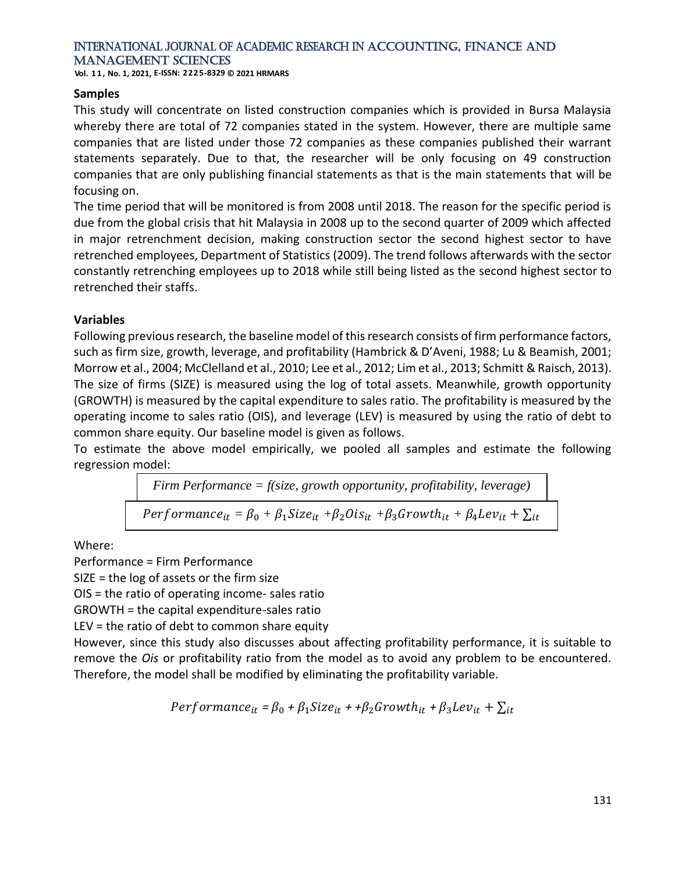**Vol. 1 1 , No. 1, 2021, E-ISSN: 2225-8329 © 2021 HRMARS**

#### **Samples**

This study will concentrate on listed construction companies which is provided in Bursa Malaysia whereby there are total of 72 companies stated in the system. However, there are multiple same companies that are listed under those 72 companies as these companies published their warrant statements separately. Due to that, the researcher will be only focusing on 49 construction companies that are only publishing financial statements as that is the main statements that will be focusing on.

The time period that will be monitored is from 2008 until 2018. The reason for the specific period is due from the global crisis that hit Malaysia in 2008 up to the second quarter of 2009 which affected in major retrenchment decision, making construction sector the second highest sector to have retrenched employees, Department of Statistics (2009). The trend follows afterwards with the sector constantly retrenching employees up to 2018 while still being listed as the second highest sector to retrenched their staffs.

#### **Variables**

Following previous research, the baseline model of this research consists of firm performance factors, such as firm size, growth, leverage, and profitability (Hambrick & D'Aveni, 1988; Lu & Beamish, 2001; Morrow et al., 2004; McClelland et al., 2010; Lee et al., 2012; Lim et al., 2013; Schmitt & Raisch, 2013). The size of firms (SIZE) is measured using the log of total assets. Meanwhile, growth opportunity (GROWTH) is measured by the capital expenditure to sales ratio. The profitability is measured by the operating income to sales ratio (OIS), and leverage (LEV) is measured by using the ratio of debt to common share equity. Our baseline model is given as follows.

To estimate the above model empirically, we pooled all samples and estimate the following regression model:

$$
Firm Performance = f(size, growth opportunity, profitability, leverage)
$$
  
Performance<sub>it</sub> =  $\beta_0 + \beta_1 Size_{it} + \beta_2 Ois_{it} + \beta_3 Growth_{it} + \beta_4 Lev_{it} + \sum_{it}$ 

Where:

Performance = Firm Performance

SIZE = the log of assets or the firm size

OIS = the ratio of operating income- sales ratio

GROWTH = the capital expenditure-sales ratio

LEV = the ratio of debt to common share equity

However, since this study also discusses about affecting profitability performance, it is suitable to remove the *Ois* or profitability ratio from the model as to avoid any problem to be encountered. Therefore, the model shall be modified by eliminating the profitability variable.

$$
Performance_{it} = \beta_0 + \beta_1 Size_{it} + \beta_2 Growth_{it} + \beta_3 Lev_{it} + \sum_{it}
$$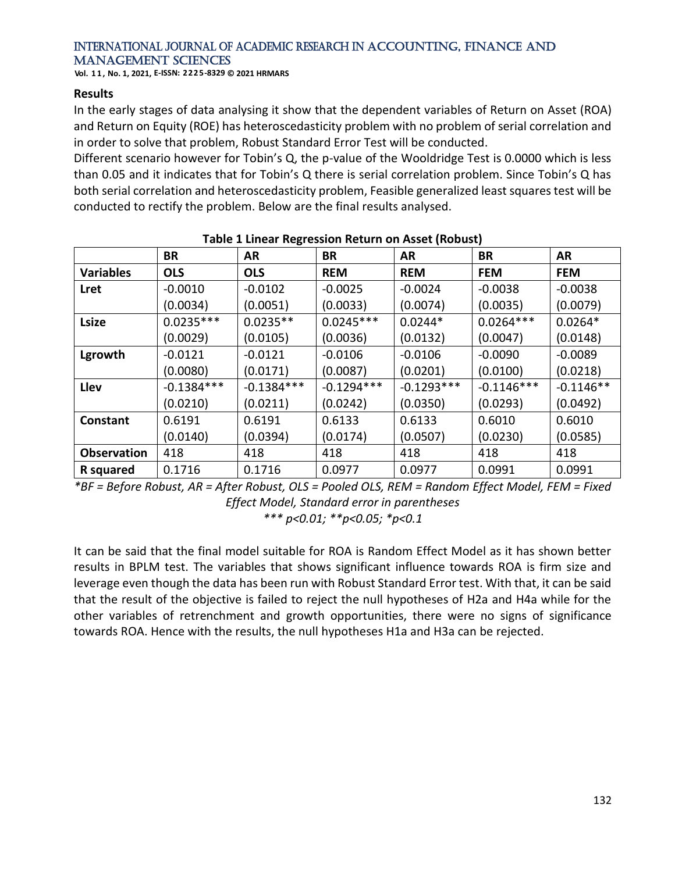**Vol. 1 1 , No. 1, 2021, E-ISSN: 2225-8329 © 2021 HRMARS**

#### **Results**

In the early stages of data analysing it show that the dependent variables of Return on Asset (ROA) and Return on Equity (ROE) has heteroscedasticity problem with no problem of serial correlation and in order to solve that problem, Robust Standard Error Test will be conducted.

Different scenario however for Tobin's Q, the p-value of the Wooldridge Test is 0.0000 which is less than 0.05 and it indicates that for Tobin's Q there is serial correlation problem. Since Tobin's Q has both serial correlation and heteroscedasticity problem, Feasible generalized least squares test will be conducted to rectify the problem. Below are the final results analysed.

| $18002 + 2000001$ $100001$ $1000001$ $1000000$ |              |              |              |              |              |             |
|------------------------------------------------|--------------|--------------|--------------|--------------|--------------|-------------|
|                                                | BR           | AR           | BR           | AR           | BR           | AR          |
| <b>Variables</b>                               | <b>OLS</b>   | <b>OLS</b>   | <b>REM</b>   | <b>REM</b>   | <b>FEM</b>   | <b>FEM</b>  |
| Lret                                           | $-0.0010$    | $-0.0102$    | $-0.0025$    | $-0.0024$    | $-0.0038$    | $-0.0038$   |
|                                                | (0.0034)     | (0.0051)     | (0.0033)     | (0.0074)     | (0.0035)     | (0.0079)    |
| <b>Lsize</b>                                   | $0.0235***$  | $0.0235**$   | $0.0245***$  | $0.0244*$    | $0.0264***$  | $0.0264*$   |
|                                                | (0.0029)     | (0.0105)     | (0.0036)     | (0.0132)     | (0.0047)     | (0.0148)    |
| Lgrowth                                        | $-0.0121$    | $-0.0121$    | $-0.0106$    | $-0.0106$    | $-0.0090$    | $-0.0089$   |
|                                                | (0.0080)     | (0.0171)     | (0.0087)     | (0.0201)     | (0.0100)     | (0.0218)    |
| Llev                                           | $-0.1384***$ | $-0.1384***$ | $-0.1294***$ | $-0.1293***$ | $-0.1146***$ | $-0.1146**$ |
|                                                | (0.0210)     | (0.0211)     | (0.0242)     | (0.0350)     | (0.0293)     | (0.0492)    |
| Constant                                       | 0.6191       | 0.6191       | 0.6133       | 0.6133       | 0.6010       | 0.6010      |
|                                                | (0.0140)     | (0.0394)     | (0.0174)     | (0.0507)     | (0.0230)     | (0.0585)    |
| <b>Observation</b>                             | 418          | 418          | 418          | 418          | 418          | 418         |
| R squared                                      | 0.1716       | 0.1716       | 0.0977       | 0.0977       | 0.0991       | 0.0991      |

#### **Table 1 Linear Regression Return on Asset (Robust)**

*\*BF = Before Robust, AR = After Robust, OLS = Pooled OLS, REM = Random Effect Model, FEM = Fixed Effect Model, Standard error in parentheses \*\*\* p<0.01; \*\*p<0.05; \*p<0.1*

It can be said that the final model suitable for ROA is Random Effect Model as it has shown better results in BPLM test. The variables that shows significant influence towards ROA is firm size and leverage even though the data has been run with Robust Standard Error test. With that, it can be said that the result of the objective is failed to reject the null hypotheses of H2a and H4a while for the other variables of retrenchment and growth opportunities, there were no signs of significance towards ROA. Hence with the results, the null hypotheses H1a and H3a can be rejected.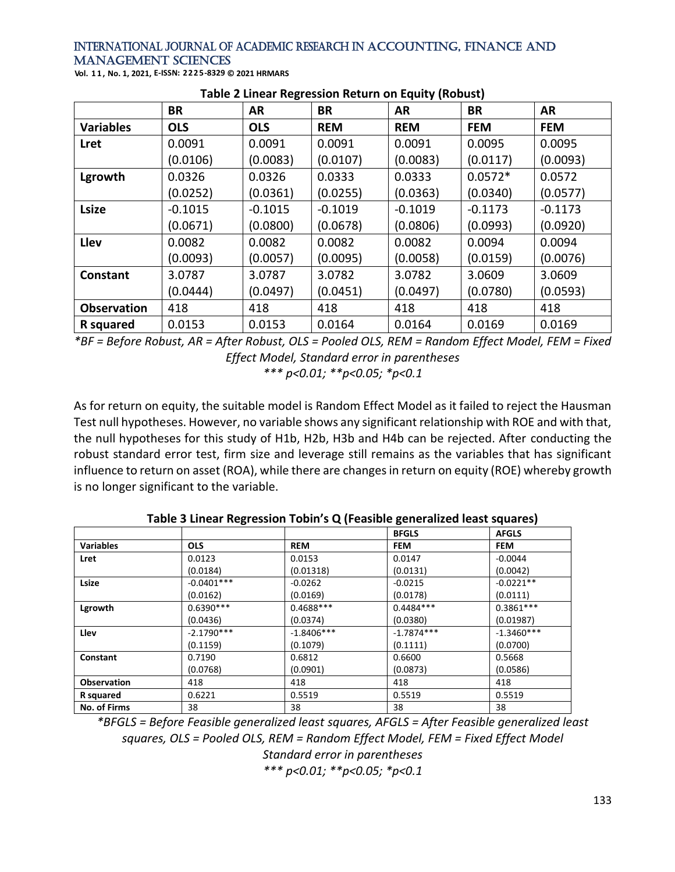| Vol. 11, No. 1, 2021, E-ISSN: 2225-8329 © 2021 HRMARS |  |  |
|-------------------------------------------------------|--|--|
|-------------------------------------------------------|--|--|

|                    | <b>BR</b>  | AR         | <b>BR</b>  | AR         | BR         | <b>AR</b>  |
|--------------------|------------|------------|------------|------------|------------|------------|
| <b>Variables</b>   | <b>OLS</b> | <b>OLS</b> | <b>REM</b> | <b>REM</b> | <b>FEM</b> | <b>FEM</b> |
| <b>Lret</b>        | 0.0091     | 0.0091     | 0.0091     | 0.0091     | 0.0095     | 0.0095     |
|                    | (0.0106)   | (0.0083)   | (0.0107)   | (0.0083)   | (0.0117)   | (0.0093)   |
| Lgrowth            | 0.0326     | 0.0326     | 0.0333     | 0.0333     | $0.0572*$  | 0.0572     |
|                    | (0.0252)   | (0.0361)   | (0.0255)   | (0.0363)   | (0.0340)   | (0.0577)   |
| <b>Lsize</b>       | $-0.1015$  | $-0.1015$  | $-0.1019$  | $-0.1019$  | $-0.1173$  | $-0.1173$  |
|                    | (0.0671)   | (0.0800)   | (0.0678)   | (0.0806)   | (0.0993)   | (0.0920)   |
| Llev               | 0.0082     | 0.0082     | 0.0082     | 0.0082     | 0.0094     | 0.0094     |
|                    | (0.0093)   | (0.0057)   | (0.0095)   | (0.0058)   | (0.0159)   | (0.0076)   |
| Constant           | 3.0787     | 3.0787     | 3.0782     | 3.0782     | 3.0609     | 3.0609     |
|                    | (0.0444)   | (0.0497)   | (0.0451)   | (0.0497)   | (0.0780)   | (0.0593)   |
| <b>Observation</b> | 418        | 418        | 418        | 418        | 418        | 418        |
| R squared          | 0.0153     | 0.0153     | 0.0164     | 0.0164     | 0.0169     | 0.0169     |

#### **Table 2 Linear Regression Return on Equity (Robust)**

*\*BF = Before Robust, AR = After Robust, OLS = Pooled OLS, REM = Random Effect Model, FEM = Fixed Effect Model, Standard error in parentheses \*\*\* p<0.01; \*\*p<0.05; \*p<0.1*

As for return on equity, the suitable model is Random Effect Model as it failed to reject the Hausman Test null hypotheses. However, no variable shows any significant relationship with ROE and with that, the null hypotheses for this study of H1b, H2b, H3b and H4b can be rejected. After conducting the robust standard error test, firm size and leverage still remains as the variables that has significant influence to return on asset (ROA), while there are changes in return on equity (ROE) whereby growth is no longer significant to the variable.

|                     |              |              | <b>BFGLS</b> | <b>AFGLS</b> |
|---------------------|--------------|--------------|--------------|--------------|
| <b>Variables</b>    | <b>OLS</b>   | <b>REM</b>   | <b>FEM</b>   | <b>FEM</b>   |
| Lret                | 0.0123       | 0.0153       | 0.0147       | $-0.0044$    |
|                     | (0.0184)     | (0.01318)    | (0.0131)     | (0.0042)     |
| Lsize               | $-0.0401***$ | $-0.0262$    | $-0.0215$    | $-0.0221**$  |
|                     | (0.0162)     | (0.0169)     | (0.0178)     | (0.0111)     |
| Lgrowth             | $0.6390***$  | $0.4688***$  | $0.4484***$  | $0.3861***$  |
|                     | (0.0436)     | (0.0374)     | (0.0380)     | (0.01987)    |
| Llev                | $-2.1790***$ | $-1.8406***$ | $-1.7874***$ | $-1.3460***$ |
|                     | (0.1159)     | (0.1079)     | (0.1111)     | (0.0700)     |
| Constant            | 0.7190       | 0.6812       | 0.6600       | 0.5668       |
|                     | (0.0768)     | (0.0901)     | (0.0873)     | (0.0586)     |
| <b>Observation</b>  | 418          | 418          | 418          | 418          |
| R squared           | 0.6221       | 0.5519       | 0.5519       | 0.5519       |
| <b>No. of Firms</b> | 38           | 38           | 38           | 38           |

**Table 3 Linear Regression Tobin's Q (Feasible generalized least squares)**

*\*BFGLS = Before Feasible generalized least squares, AFGLS = After Feasible generalized least squares, OLS = Pooled OLS, REM = Random Effect Model, FEM = Fixed Effect Model Standard error in parentheses*

*\*\*\* p<0.01; \*\*p<0.05; \*p<0.1*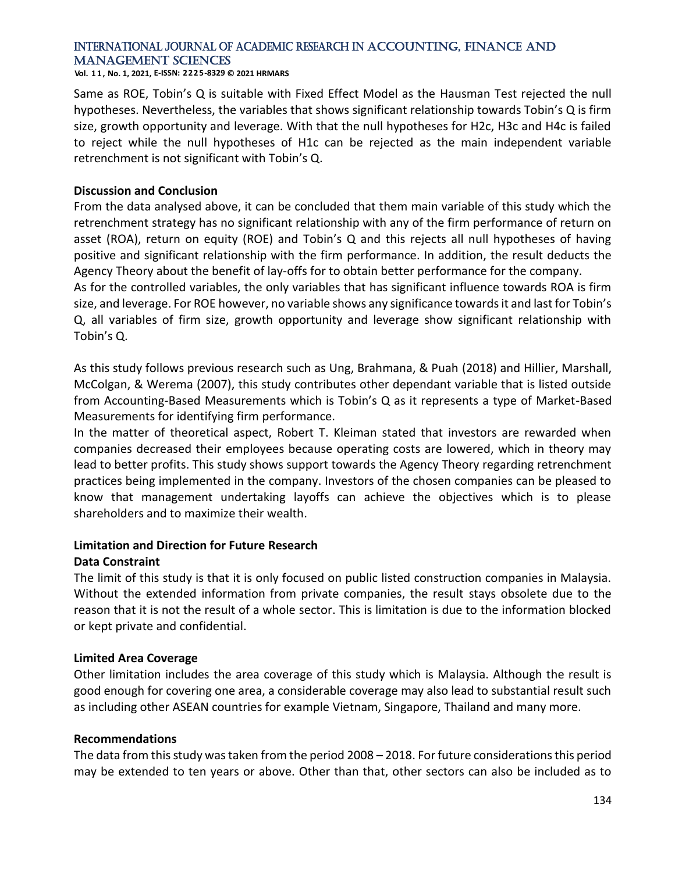**Vol. 1 1 , No. 1, 2021, E-ISSN: 2225-8329 © 2021 HRMARS**

Same as ROE, Tobin's Q is suitable with Fixed Effect Model as the Hausman Test rejected the null hypotheses. Nevertheless, the variables that shows significant relationship towards Tobin's Q is firm size, growth opportunity and leverage. With that the null hypotheses for H2c, H3c and H4c is failed to reject while the null hypotheses of H1c can be rejected as the main independent variable retrenchment is not significant with Tobin's Q.

#### **Discussion and Conclusion**

From the data analysed above, it can be concluded that them main variable of this study which the retrenchment strategy has no significant relationship with any of the firm performance of return on asset (ROA), return on equity (ROE) and Tobin's Q and this rejects all null hypotheses of having positive and significant relationship with the firm performance. In addition, the result deducts the Agency Theory about the benefit of lay-offs for to obtain better performance for the company. As for the controlled variables, the only variables that has significant influence towards ROA is firm

size, and leverage. For ROE however, no variable shows any significance towards it and last for Tobin's Q, all variables of firm size, growth opportunity and leverage show significant relationship with Tobin's Q.

As this study follows previous research such as Ung, Brahmana, & Puah (2018) and Hillier, Marshall, McColgan, & Werema (2007), this study contributes other dependant variable that is listed outside from Accounting-Based Measurements which is Tobin's Q as it represents a type of Market-Based Measurements for identifying firm performance.

In the matter of theoretical aspect, Robert T. Kleiman stated that investors are rewarded when companies decreased their employees because operating costs are lowered, which in theory may lead to better profits. This study shows support towards the Agency Theory regarding retrenchment practices being implemented in the company. Investors of the chosen companies can be pleased to know that management undertaking layoffs can achieve the objectives which is to please shareholders and to maximize their wealth.

#### **Limitation and Direction for Future Research Data Constraint**

The limit of this study is that it is only focused on public listed construction companies in Malaysia. Without the extended information from private companies, the result stays obsolete due to the reason that it is not the result of a whole sector. This is limitation is due to the information blocked or kept private and confidential.

#### **Limited Area Coverage**

Other limitation includes the area coverage of this study which is Malaysia. Although the result is good enough for covering one area, a considerable coverage may also lead to substantial result such as including other ASEAN countries for example Vietnam, Singapore, Thailand and many more.

#### **Recommendations**

The data from this study was taken from the period 2008 – 2018. For future considerations this period may be extended to ten years or above. Other than that, other sectors can also be included as to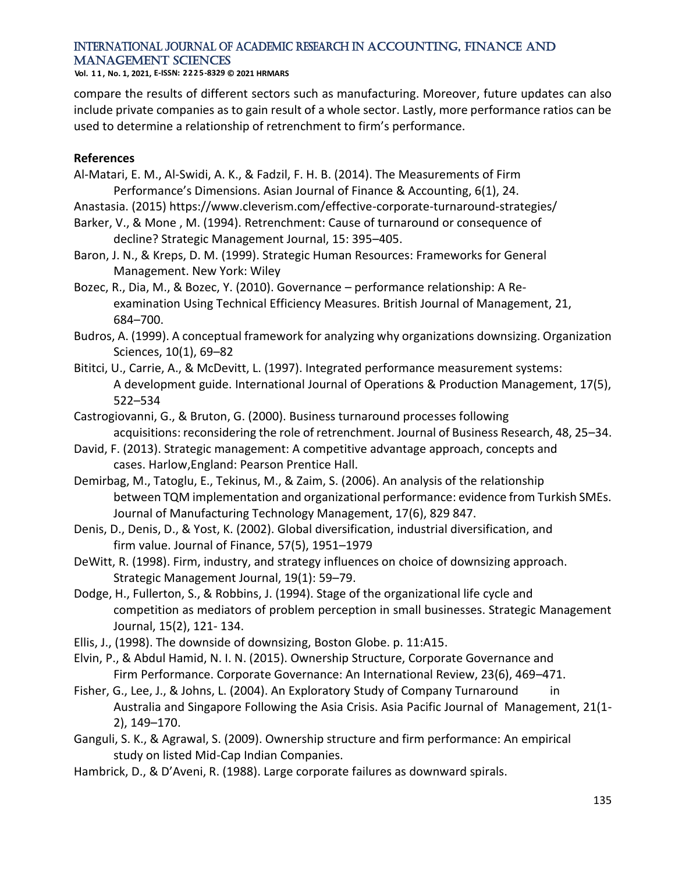**Vol. 1 1 , No. 1, 2021, E-ISSN: 2225-8329 © 2021 HRMARS**

compare the results of different sectors such as manufacturing. Moreover, future updates can also include private companies as to gain result of a whole sector. Lastly, more performance ratios can be used to determine a relationship of retrenchment to firm's performance.

#### **References**

- Al-Matari, E. M., Al-Swidi, A. K., & Fadzil, F. H. B. (2014). The Measurements of Firm Performance's Dimensions. Asian Journal of Finance & Accounting, 6(1), 24.
- Anastasia. (2015) https://www.cleverism.com/effective-corporate-turnaround-strategies/
- Barker, V., & Mone , M. (1994). Retrenchment: Cause of turnaround or consequence of decline? Strategic Management Journal, 15: 395–405.
- Baron, J. N., & Kreps, D. M. (1999). Strategic Human Resources: Frameworks for General Management. New York: Wiley
- Bozec, R., Dia, M., & Bozec, Y. (2010). Governance performance relationship: A Reexamination Using Technical Efficiency Measures. British Journal of Management, 21, 684–700.
- Budros, A. (1999). A conceptual framework for analyzing why organizations downsizing. Organization Sciences, 10(1), 69–82
- Bititci, U., Carrie, A., & McDevitt, L. (1997). Integrated performance measurement systems: A development guide. International Journal of Operations & Production Management, 17(5), 522–534
- Castrogiovanni, G., & Bruton, G. (2000). Business turnaround processes following acquisitions: reconsidering the role of retrenchment. Journal of Business Research, 48, 25–34.
- David, F. (2013). Strategic management: A competitive advantage approach, concepts and cases. Harlow,England: Pearson Prentice Hall.
- Demirbag, M., Tatoglu, E., Tekinus, M., & Zaim, S. (2006). An analysis of the relationship between TQM implementation and organizational performance: evidence from Turkish SMEs. Journal of Manufacturing Technology Management, 17(6), 829 847.
- Denis, D., Denis, D., & Yost, K. (2002). Global diversification, industrial diversification, and firm value. Journal of Finance, 57(5), 1951–1979
- DeWitt, R. (1998). Firm, industry, and strategy influences on choice of downsizing approach. Strategic Management Journal, 19(1): 59–79.
- Dodge, H., Fullerton, S., & Robbins, J. (1994). Stage of the organizational life cycle and competition as mediators of problem perception in small businesses. Strategic Management Journal, 15(2), 121- 134.
- Ellis, J., (1998). The downside of downsizing, Boston Globe. p. 11:A15.
- Elvin, P., & Abdul Hamid, N. I. N. (2015). Ownership Structure, Corporate Governance and Firm Performance. Corporate Governance: An International Review, 23(6), 469–471.
- Fisher, G., Lee, J., & Johns, L. (2004). An Exploratory Study of Company Turnaround Australia and Singapore Following the Asia Crisis. Asia Pacific Journal of Management, 21(1- 2), 149–170.
- Ganguli, S. K., & Agrawal, S. (2009). Ownership structure and firm performance: An empirical study on listed Mid-Cap Indian Companies.
- Hambrick, D., & D'Aveni, R. (1988). Large corporate failures as downward spirals.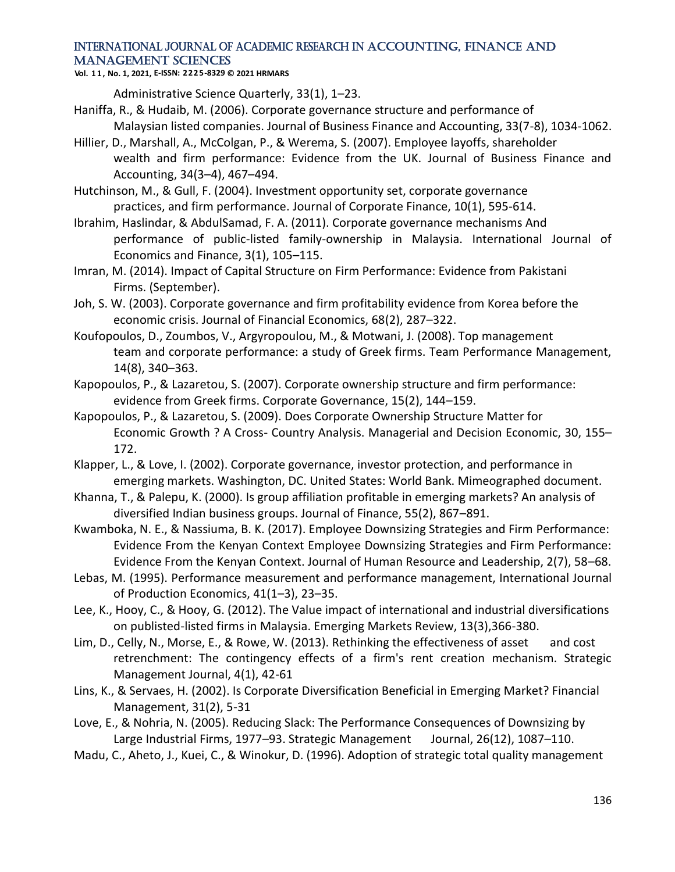**Vol. 1 1 , No. 1, 2021, E-ISSN: 2225-8329 © 2021 HRMARS**

Administrative Science Quarterly, 33(1), 1–23.

- Haniffa, R., & Hudaib, M. (2006). Corporate governance structure and performance of Malaysian listed companies. Journal of Business Finance and Accounting, 33(7-8), 1034-1062.
- Hillier, D., Marshall, A., McColgan, P., & Werema, S. (2007). Employee layoffs, shareholder wealth and firm performance: Evidence from the UK. Journal of Business Finance and Accounting, 34(3–4), 467–494.
- Hutchinson, M., & Gull, F. (2004). Investment opportunity set, corporate governance practices, and firm performance. Journal of Corporate Finance, 10(1), 595-614.
- Ibrahim, Haslindar, & AbdulSamad, F. A. (2011). Corporate governance mechanisms And performance of public-listed family-ownership in Malaysia. International Journal of Economics and Finance, 3(1), 105–115.
- Imran, M. (2014). Impact of Capital Structure on Firm Performance: Evidence from Pakistani Firms. (September).
- Joh, S. W. (2003). Corporate governance and firm profitability evidence from Korea before the economic crisis. Journal of Financial Economics, 68(2), 287–322.
- Koufopoulos, D., Zoumbos, V., Argyropoulou, M., & Motwani, J. (2008). Top management team and corporate performance: a study of Greek firms. Team Performance Management, 14(8), 340–363.
- Kapopoulos, P., & Lazaretou, S. (2007). Corporate ownership structure and firm performance: evidence from Greek firms. Corporate Governance, 15(2), 144–159.
- Kapopoulos, P., & Lazaretou, S. (2009). Does Corporate Ownership Structure Matter for Economic Growth ? A Cross- Country Analysis. Managerial and Decision Economic, 30, 155– 172.
- Klapper, L., & Love, I. (2002). Corporate governance, investor protection, and performance in emerging markets. Washington, DC. United States: World Bank. Mimeographed document.
- Khanna, T., & Palepu, K. (2000). Is group affiliation profitable in emerging markets? An analysis of diversified Indian business groups. Journal of Finance, 55(2), 867–891.
- Kwamboka, N. E., & Nassiuma, B. K. (2017). Employee Downsizing Strategies and Firm Performance: Evidence From the Kenyan Context Employee Downsizing Strategies and Firm Performance: Evidence From the Kenyan Context. Journal of Human Resource and Leadership, 2(7), 58–68.
- Lebas, M. (1995). Performance measurement and performance management, International Journal of Production Economics, 41(1–3), 23–35.
- Lee, K., Hooy, C., & Hooy, G. (2012). The Value impact of international and industrial diversifications on publisted-listed firms in Malaysia. Emerging Markets Review, 13(3),366-380.
- Lim, D., Celly, N., Morse, E., & Rowe, W. (2013). Rethinking the effectiveness of asset and cost retrenchment: The contingency effects of a firm's rent creation mechanism. Strategic Management Journal, 4(1), 42-61
- Lins, K., & Servaes, H. (2002). Is Corporate Diversification Beneficial in Emerging Market? Financial Management, 31(2), 5-31
- Love, E., & Nohria, N. (2005). Reducing Slack: The Performance Consequences of Downsizing by Large Industrial Firms, 1977-93. Strategic Management Journal, 26(12), 1087-110.
- Madu, C., Aheto, J., Kuei, C., & Winokur, D. (1996). Adoption of strategic total quality management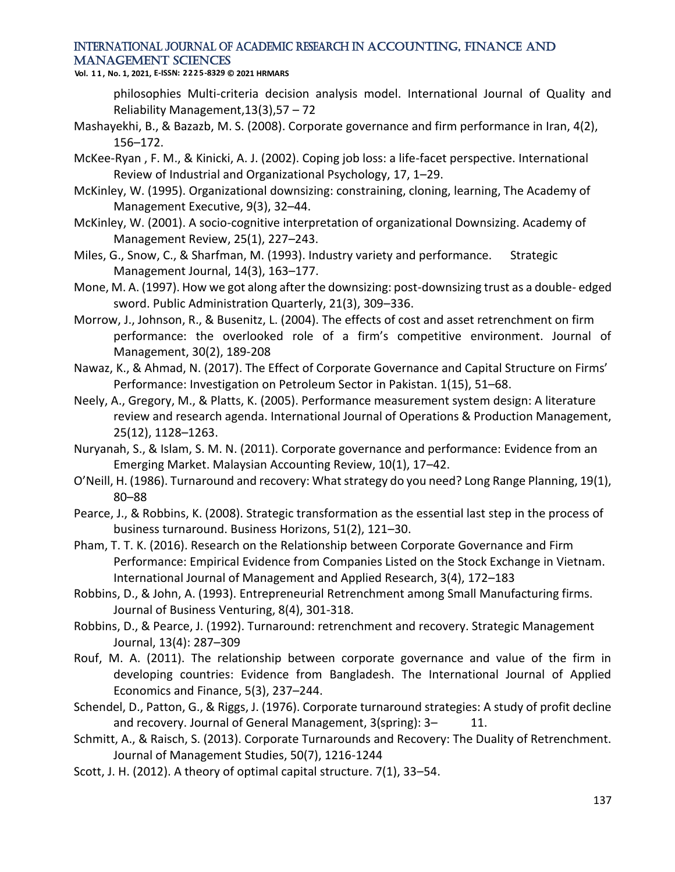**Vol. 1 1 , No. 1, 2021, E-ISSN: 2225-8329 © 2021 HRMARS**

philosophies Multi-criteria decision analysis model. International Journal of Quality and Reliability Management,13(3),57 – 72

- Mashayekhi, B., & Bazazb, M. S. (2008). Corporate governance and firm performance in Iran, 4(2), 156–172.
- McKee-Ryan , F. M., & Kinicki, A. J. (2002). Coping job loss: a life-facet perspective. International Review of Industrial and Organizational Psychology, 17, 1–29.
- McKinley, W. (1995). Organizational downsizing: constraining, cloning, learning, The Academy of Management Executive, 9(3), 32–44.
- McKinley, W. (2001). A socio-cognitive interpretation of organizational Downsizing. Academy of Management Review, 25(1), 227–243.
- Miles, G., Snow, C., & Sharfman, M. (1993). Industry variety and performance. Strategic Management Journal, 14(3), 163–177.
- Mone, M. A. (1997). How we got along after the downsizing: post-downsizing trust as a double- edged sword. Public Administration Quarterly, 21(3), 309–336.
- Morrow, J., Johnson, R., & Busenitz, L. (2004). The effects of cost and asset retrenchment on firm performance: the overlooked role of a firm's competitive environment. Journal of Management, 30(2), 189-208
- Nawaz, K., & Ahmad, N. (2017). The Effect of Corporate Governance and Capital Structure on Firms' Performance: Investigation on Petroleum Sector in Pakistan. 1(15), 51–68.
- Neely, A., Gregory, M., & Platts, K. (2005). Performance measurement system design: A literature review and research agenda. International Journal of Operations & Production Management, 25(12), 1128–1263.
- Nuryanah, S., & Islam, S. M. N. (2011). Corporate governance and performance: Evidence from an Emerging Market. Malaysian Accounting Review, 10(1), 17–42.
- O'Neill, H. (1986). Turnaround and recovery: What strategy do you need? Long Range Planning, 19(1), 80–88
- Pearce, J., & Robbins, K. (2008). Strategic transformation as the essential last step in the process of business turnaround. Business Horizons, 51(2), 121–30.
- Pham, T. T. K. (2016). Research on the Relationship between Corporate Governance and Firm Performance: Empirical Evidence from Companies Listed on the Stock Exchange in Vietnam. International Journal of Management and Applied Research, 3(4), 172–183
- Robbins, D., & John, A. (1993). Entrepreneurial Retrenchment among Small Manufacturing firms. Journal of Business Venturing, 8(4), 301-318.
- Robbins, D., & Pearce, J. (1992). Turnaround: retrenchment and recovery. Strategic Management Journal, 13(4): 287–309
- Rouf, M. A. (2011). The relationship between corporate governance and value of the firm in developing countries: Evidence from Bangladesh. The International Journal of Applied Economics and Finance, 5(3), 237–244.
- Schendel, D., Patton, G., & Riggs, J. (1976). Corporate turnaround strategies: A study of profit decline and recovery. Journal of General Management, 3(spring): 3- 11.
- Schmitt, A., & Raisch, S. (2013). Corporate Turnarounds and Recovery: The Duality of Retrenchment. Journal of Management Studies, 50(7), 1216-1244
- Scott, J. H. (2012). A theory of optimal capital structure. 7(1), 33–54.